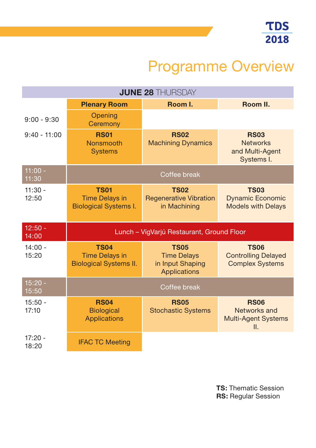## Programme Overview

| <b>JUNE 28 THURSDAY</b> |                                                                       |                                                                              |                                                                     |  |  |
|-------------------------|-----------------------------------------------------------------------|------------------------------------------------------------------------------|---------------------------------------------------------------------|--|--|
|                         | <b>Plenary Room</b>                                                   | Room I.                                                                      | Room II.                                                            |  |  |
| $9:00 - 9:30$           | Opening<br>Ceremony                                                   |                                                                              |                                                                     |  |  |
| $9:40 - 11:00$          | <b>RS01</b><br><b>Nonsmooth</b><br><b>Systems</b>                     | <b>RS02</b><br><b>Machining Dynamics</b>                                     | <b>RS03</b><br><b>Networks</b><br>and Multi-Agent<br>Systems I.     |  |  |
| $11:00 -$<br>11:30      | Coffee break                                                          |                                                                              |                                                                     |  |  |
| $11:30 -$<br>12:50      | <b>TS01</b><br><b>Time Delays in</b><br><b>Biological Systems I.</b>  | <b>TS02</b><br><b>Regenerative Vibration</b><br>in Machining                 | <b>TS03</b><br><b>Dynamic Economic</b><br><b>Models with Delays</b> |  |  |
| $12:50 -$<br>14:00      | Lunch – VígVarjú Restaurant, Ground Floor                             |                                                                              |                                                                     |  |  |
| $14:00 -$<br>15:20      | <b>TS04</b><br><b>Time Delays in</b><br><b>Biological Systems II.</b> | <b>TS05</b><br><b>Time Delays</b><br>in Input Shaping<br><b>Applications</b> | <b>TS06</b><br><b>Controlling Delayed</b><br><b>Complex Systems</b> |  |  |
| $15:20 -$<br>15:50      | Coffee break                                                          |                                                                              |                                                                     |  |  |
| $15:50 -$<br>17:10      | <b>RS04</b><br><b>Biological</b><br><b>Applications</b>               | <b>RS05</b><br><b>Stochastic Systems</b>                                     | <b>RS06</b><br>Networks and<br><b>Multi-Agent Systems</b><br>II.    |  |  |
| $17:20 -$<br>18:20      | <b>IFAC TC Meeting</b>                                                |                                                                              |                                                                     |  |  |

**TS:** Thematic Session **RS:** Regular Session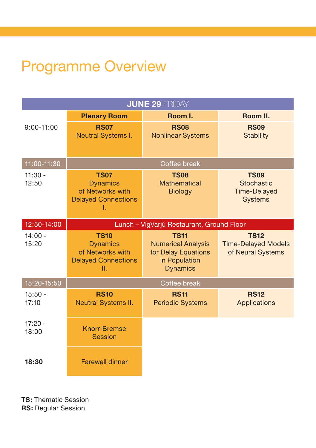## Programme Overview

| <b>JUNE 29 FRIDAY</b> |                                                                                        |                                                                                                     |                                                                    |  |  |
|-----------------------|----------------------------------------------------------------------------------------|-----------------------------------------------------------------------------------------------------|--------------------------------------------------------------------|--|--|
|                       | <b>Plenary Room</b>                                                                    | Room I.                                                                                             | Room II.                                                           |  |  |
| $9:00 - 11:00$        | <b>RS07</b><br><b>Neutral Systems I.</b>                                               | <b>RS08</b><br><b>Nonlinear Systems</b>                                                             | <b>RS09</b><br>Stability                                           |  |  |
| 11:00-11:30           | Coffee break                                                                           |                                                                                                     |                                                                    |  |  |
| $11:30 -$<br>12:50    | <b>TS07</b><br><b>Dynamics</b><br>of Networks with<br><b>Delayed Connections</b><br>I. | <b>TS08</b><br><b>Mathematical</b><br><b>Biology</b>                                                | <b>TS09</b><br>Stochastic<br><b>Time-Delayed</b><br><b>Systems</b> |  |  |
| 12:50-14:00           | Lunch - VígVarjú Restaurant, Ground Floor                                              |                                                                                                     |                                                                    |  |  |
| $14:00 -$<br>15:20    | <b>TS10</b><br><b>Dynamics</b><br>of Networks with<br><b>Delayed Connections</b><br>Π. | <b>TS11</b><br><b>Numerical Analysis</b><br>for Delay Equations<br>in Population<br><b>Dynamics</b> | <b>TS12</b><br><b>Time-Delayed Models</b><br>of Neural Systems     |  |  |
| 15:20-15:50           | Coffee break                                                                           |                                                                                                     |                                                                    |  |  |
| $15:50 -$<br>17:10    | <b>RS10</b><br><b>Neutral Systems II.</b>                                              | <b>RS11</b><br><b>Periodic Systems</b>                                                              | <b>RS12</b><br>Applications                                        |  |  |
| $17:20 -$<br>18:00    | <b>Knorr-Bremse</b><br><b>Session</b>                                                  |                                                                                                     |                                                                    |  |  |
| 18:30                 | <b>Farewell dinner</b>                                                                 |                                                                                                     |                                                                    |  |  |

**TS:** Thematic Session

**RS:** Regular Session